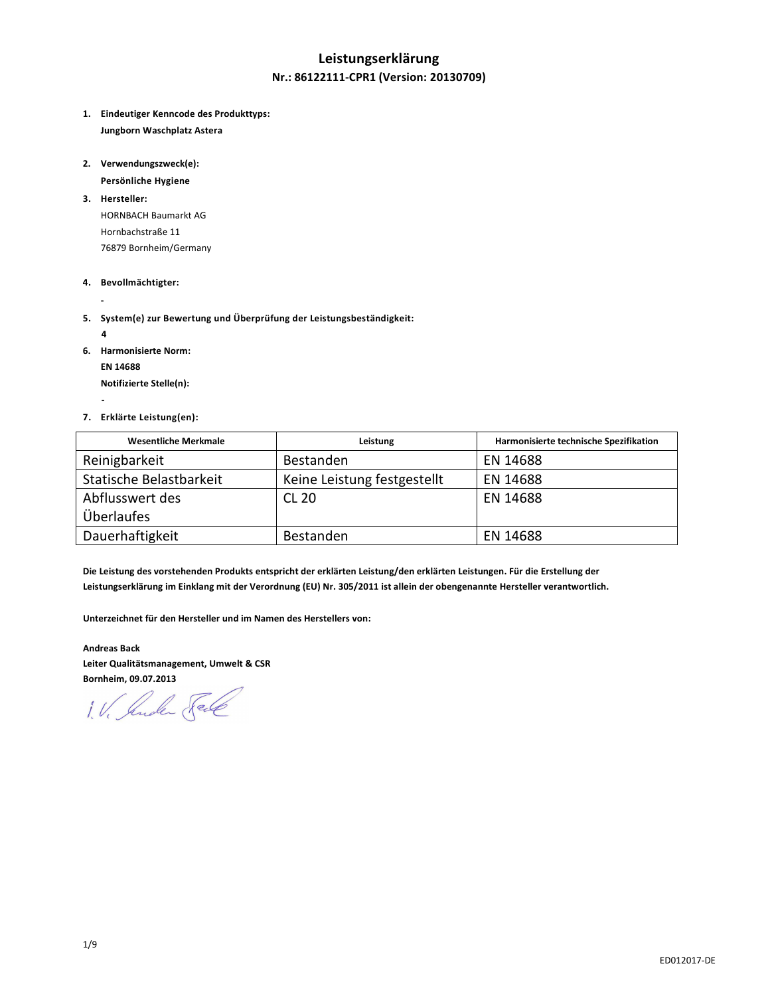## **Leistungserklärung Nr.: 86122111-CPR1 (Version: 20130709)**

- **1. Eindeutiger Kenncode des Produkttyps: Jungborn Waschplatz Astera**
- **2. Verwendungszweck(e):**

 **Persönliche Hygiene** 

**3. Hersteller:**  HORNBACH Baumarkt AG Hornbachstraße 11 76879 Bornheim/Germany

## **4. Bevollmächtigter:**

**5. System(e) zur Bewertung und Überprüfung der Leistungsbeständigkeit:** 

 **4** 

 **-** 

 **-** 

**6. Harmonisierte Norm:** 

 **EN 14688** 

 **Notifizierte Stelle(n):** 

**7. Erklärte Leistung(en):** 

| <b>Wesentliche Merkmale</b> | Leistung                    | Harmonisierte technische Spezifikation |
|-----------------------------|-----------------------------|----------------------------------------|
| Reinigbarkeit               | <b>Bestanden</b>            | EN 14688                               |
| Statische Belastbarkeit     | Keine Leistung festgestellt | EN 14688                               |
| Abflusswert des             | <b>CL 20</b>                | EN 14688                               |
| Überlaufes                  |                             |                                        |
| Dauerhaftigkeit             | <b>Bestanden</b>            | EN 14688                               |

**Die Leistung des vorstehenden Produkts entspricht der erklärten Leistung/den erklärten Leistungen. Für die Erstellung der Leistungserklärung im Einklang mit der Verordnung (EU) Nr. 305/2011 ist allein der obengenannte Hersteller verantwortlich.** 

**Unterzeichnet für den Hersteller und im Namen des Herstellers von:** 

**Andreas Back Leiter Qualitätsmanagement, Umwelt & CSR Bornheim, 09.07.2013** 

1. V. Suder Sele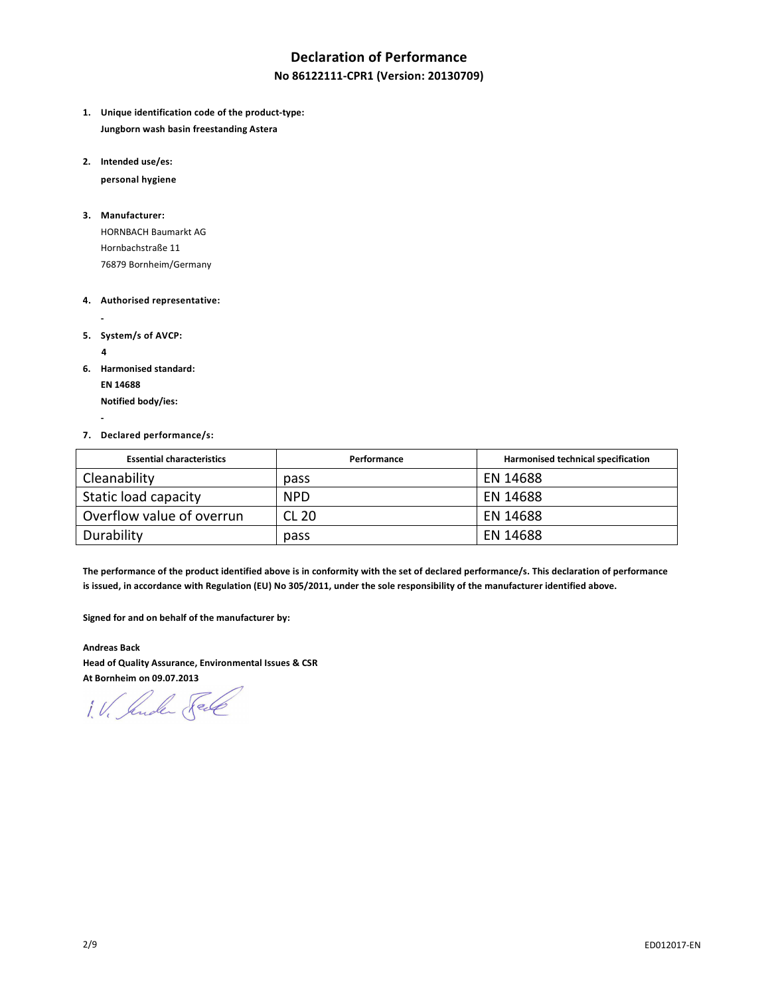# **Declaration of Performance**

## **No 86122111-CPR1 (Version: 20130709)**

- **1. Unique identification code of the product-type: Jungborn wash basin freestanding Astera**
- **2. Intended use/es:**

 **personal hygiene** 

#### **3. Manufacturer:**

HORNBACH Baumarkt AG Hornbachstraße 11 76879 Bornheim/Germany

#### **4. Authorised representative:**

- **5. System/s of AVCP:** 
	- **4**

 **-** 

 **-** 

**6. Harmonised standard:** 

 **EN 14688 Notified body/ies:** 

#### **7. Declared performance/s:**

| <b>Essential characteristics</b> | Performance | Harmonised technical specification |
|----------------------------------|-------------|------------------------------------|
| Cleanability                     | pass        | EN 14688                           |
| Static load capacity             | <b>NPD</b>  | EN 14688                           |
| Overflow value of overrun        | CL 20       | EN 14688                           |
| Durability                       | pass        | EN 14688                           |

**The performance of the product identified above is in conformity with the set of declared performance/s. This declaration of performance is issued, in accordance with Regulation (EU) No 305/2011, under the sole responsibility of the manufacturer identified above.** 

**Signed for and on behalf of the manufacturer by:** 

**Andreas Back Head of Quality Assurance, Environmental Issues & CSR At Bornheim on 09.07.2013** 

1. V. Jude Fell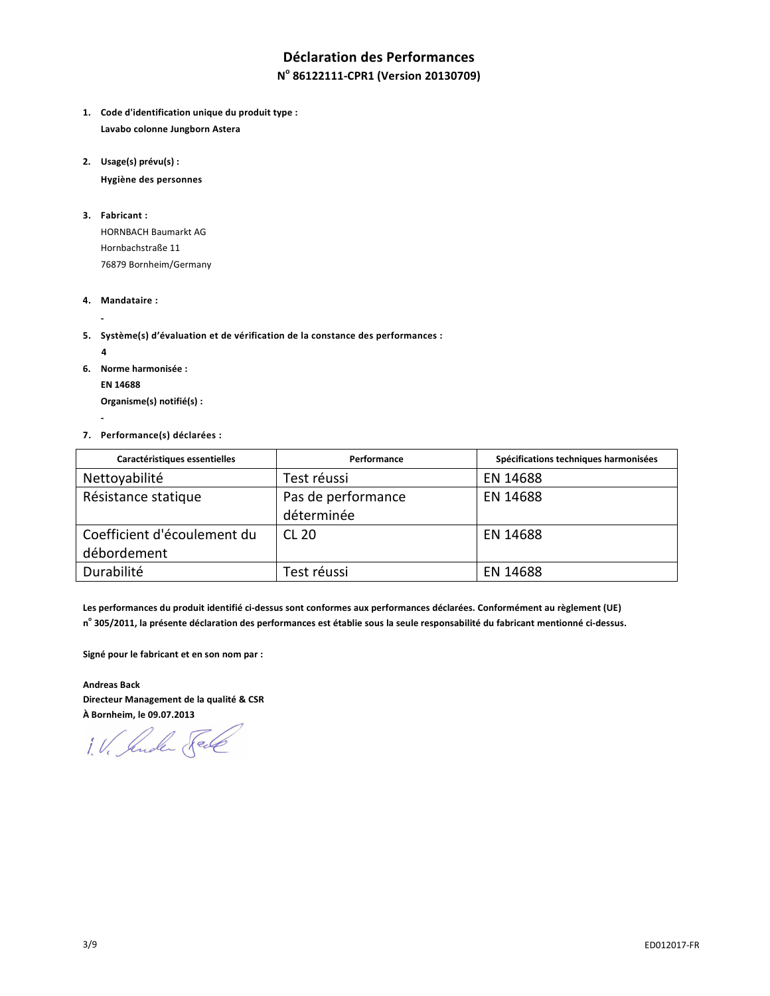# **Déclaration des Performances N o 86122111-CPR1 (Version 20130709)**

- **1. Code d'identification unique du produit type : Lavabo colonne Jungborn Astera**
- **2. Usage(s) prévu(s) :**

 **Hygiène des personnes** 

**3. Fabricant :** 

HORNBACH Baumarkt AG Hornbachstraße 11 76879 Bornheim/Germany

- **4. Mandataire :**
- **5. Système(s) d'évaluation et de vérification de la constance des performances :** 
	- **4**

 **-** 

 **-** 

- **6. Norme harmonisée : EN 14688 Organisme(s) notifié(s) :**
- **7. Performance(s) déclarées :**

| Caractéristiques essentielles | Performance        | Spécifications techniques harmonisées |
|-------------------------------|--------------------|---------------------------------------|
| Nettoyabilité                 | Test réussi        | EN 14688                              |
| Résistance statique           | Pas de performance | EN 14688                              |
|                               | déterminée         |                                       |
| Coefficient d'écoulement du   | <b>CL 20</b>       | EN 14688                              |
| débordement                   |                    |                                       |
| Durabilité                    | Test réussi        | EN 14688                              |

**Les performances du produit identifié ci-dessus sont conformes aux performances déclarées. Conformément au règlement (UE) n o 305/2011, la présente déclaration des performances est établie sous la seule responsabilité du fabricant mentionné ci-dessus.** 

**Signé pour le fabricant et en son nom par :** 

**Andreas Back Directeur Management de la qualité & CSR À Bornheim, le 09.07.2013** 

1. V. Jude Sel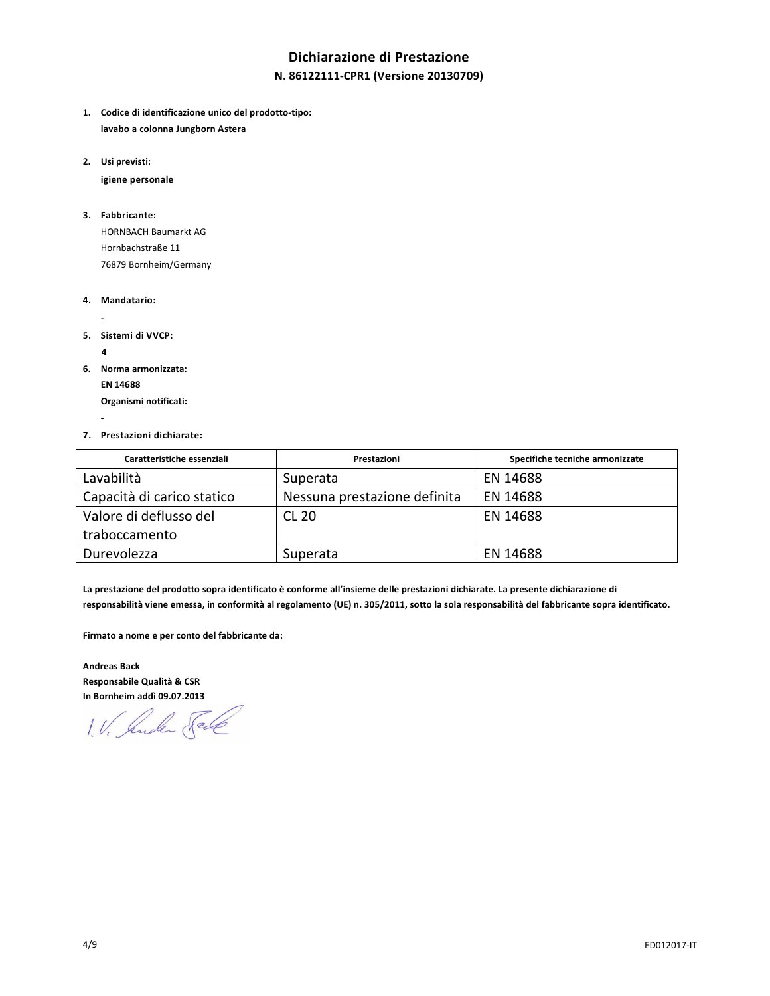# **Dichiarazione di Prestazione**

## **N. 86122111-CPR1 (Versione 20130709)**

- **1. Codice di identificazione unico del prodotto-tipo: lavabo a colonna Jungborn Astera**
- **2. Usi previsti:**

 **igiene personale** 

## **3. Fabbricante:**

HORNBACH Baumarkt AG Hornbachstraße 11 76879 Bornheim/Germany

- **4. Mandatario:**
- **5. Sistemi di VVCP:** 
	- **4**

 **-** 

 **-** 

**6. Norma armonizzata: EN 14688** 

 **Organismi notificati:** 

**7. Prestazioni dichiarate:** 

| Caratteristiche essenziali | Prestazioni                  | Specifiche tecniche armonizzate |
|----------------------------|------------------------------|---------------------------------|
| Lavabilità                 | Superata                     | EN 14688                        |
| Capacità di carico statico | Nessuna prestazione definita | EN 14688                        |
| Valore di deflusso del     | CL 20                        | EN 14688                        |
| traboccamento              |                              |                                 |
| Durevolezza                | Superata                     | EN 14688                        |

**La prestazione del prodotto sopra identificato è conforme all'insieme delle prestazioni dichiarate. La presente dichiarazione di responsabilità viene emessa, in conformità al regolamento (UE) n. 305/2011, sotto la sola responsabilità del fabbricante sopra identificato.** 

**Firmato a nome e per conto del fabbricante da:** 

**Andreas Back Responsabile Qualità & CSR In Bornheim addì 09.07.2013** 

1. V. Suder Fell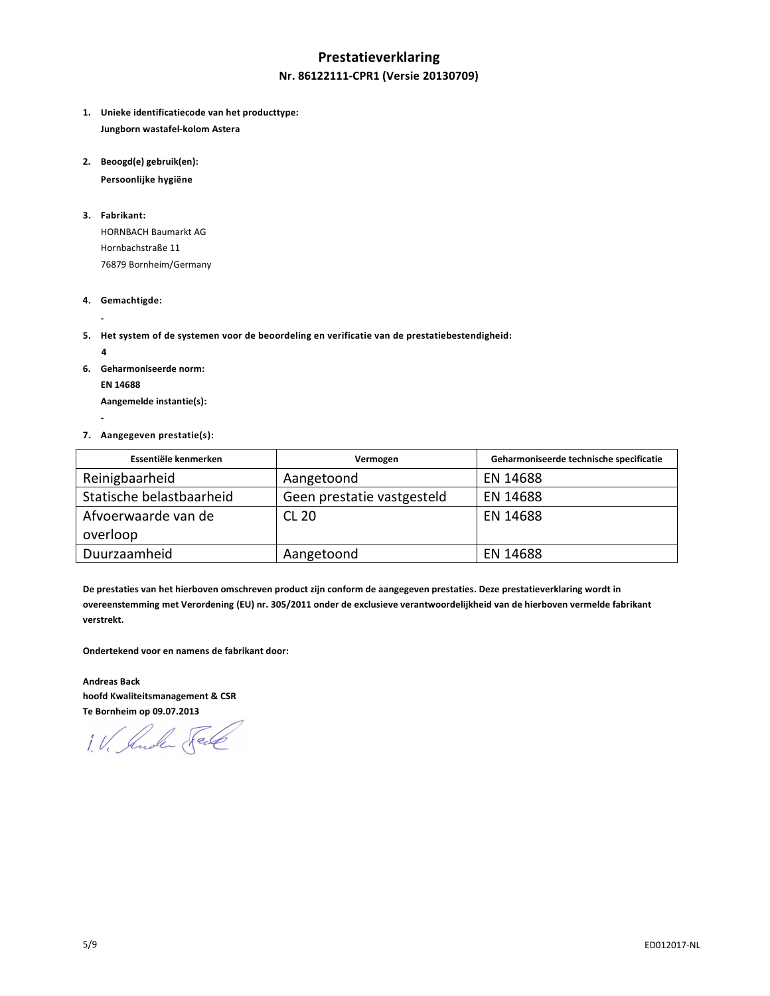# **Prestatieverklaring Nr. 86122111-CPR1 (Versie 20130709)**

- **1. Unieke identificatiecode van het producttype: Jungborn wastafel-kolom Astera**
- **2. Beoogd(e) gebruik(en):**

 **Persoonlijke hygiëne** 

**3. Fabrikant:** 

HORNBACH Baumarkt AG Hornbachstraße 11 76879 Bornheim/Germany

- **4. Gemachtigde:**
- **5. Het system of de systemen voor de beoordeling en verificatie van de prestatiebestendigheid:** 
	- **4**

 **-** 

 **-** 

**6. Geharmoniseerde norm: EN 14688 Aangemelde instantie(s):** 

**7. Aangegeven prestatie(s):** 

| Essentiële kenmerken     | Vermogen                   | Geharmoniseerde technische specificatie |
|--------------------------|----------------------------|-----------------------------------------|
| Reinigbaarheid           | Aangetoond                 | EN 14688                                |
| Statische belastbaarheid | Geen prestatie vastgesteld | EN 14688                                |
| Afvoerwaarde van de      | <b>CL 20</b>               | EN 14688                                |
| overloop                 |                            |                                         |
| Duurzaamheid             | Aangetoond                 | EN 14688                                |

**De prestaties van het hierboven omschreven product zijn conform de aangegeven prestaties. Deze prestatieverklaring wordt in overeenstemming met Verordening (EU) nr. 305/2011 onder de exclusieve verantwoordelijkheid van de hierboven vermelde fabrikant verstrekt.** 

**Ondertekend voor en namens de fabrikant door:** 

**Andreas Back hoofd Kwaliteitsmanagement & CSR Te Bornheim op 09.07.2013** 

1. V. Suder Sel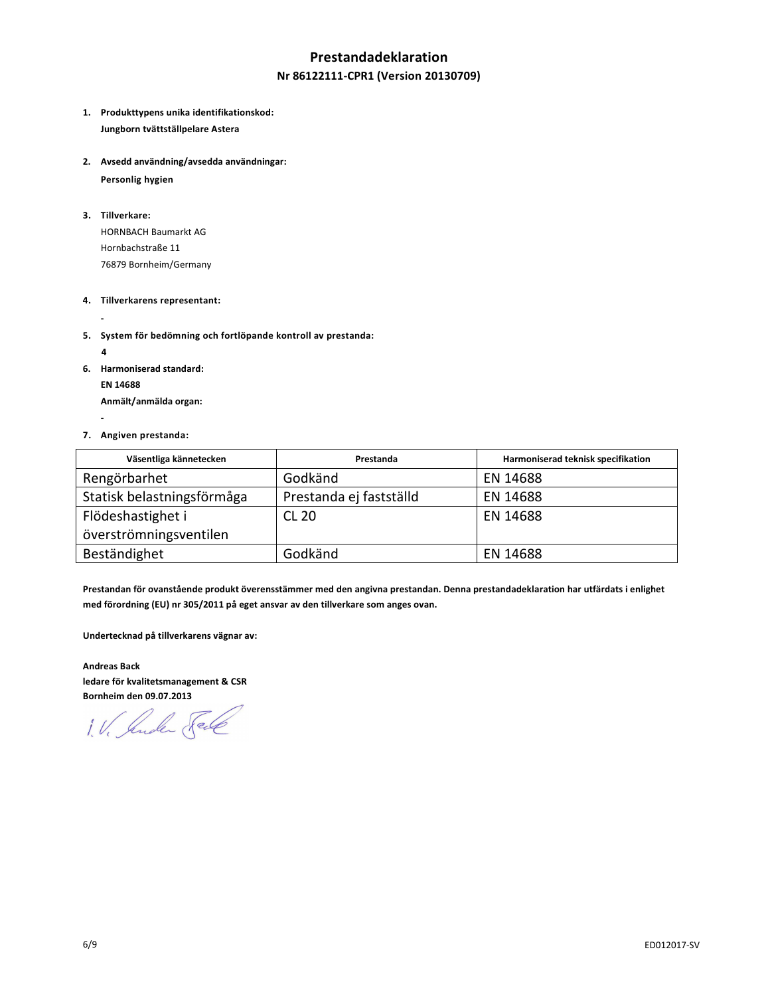## **Prestandadeklaration**

## **Nr 86122111-CPR1 (Version 20130709)**

- **1. Produkttypens unika identifikationskod: Jungborn tvättställpelare Astera**
- **2. Avsedd användning/avsedda användningar:**

 **Personlig hygien** 

**3. Tillverkare:** 

 **-** 

 **-** 

HORNBACH Baumarkt AG Hornbachstraße 11 76879 Bornheim/Germany

- **4. Tillverkarens representant:**
- **5. System för bedömning och fortlöpande kontroll av prestanda:**
- **4 6. Harmoniserad standard: EN 14688 Anmält/anmälda organ:**
- **7. Angiven prestanda:**

| Väsentliga kännetecken     | Prestanda               | Harmoniserad teknisk specifikation |
|----------------------------|-------------------------|------------------------------------|
| Rengörbarhet               | Godkänd                 | EN 14688                           |
| Statisk belastningsförmåga | Prestanda ej fastställd | EN 14688                           |
| Flödeshastighet i          | <b>CL 20</b>            | EN 14688                           |
| överströmningsventilen     |                         |                                    |
| Beständighet               | Godkänd                 | EN 14688                           |

**Prestandan för ovanstående produkt överensstämmer med den angivna prestandan. Denna prestandadeklaration har utfärdats i enlighet med förordning (EU) nr 305/2011 på eget ansvar av den tillverkare som anges ovan.** 

**Undertecknad på tillverkarens vägnar av:** 

**Andreas Back ledare för kvalitetsmanagement & CSR Bornheim den 09.07.2013** 

1. V. Suder Sele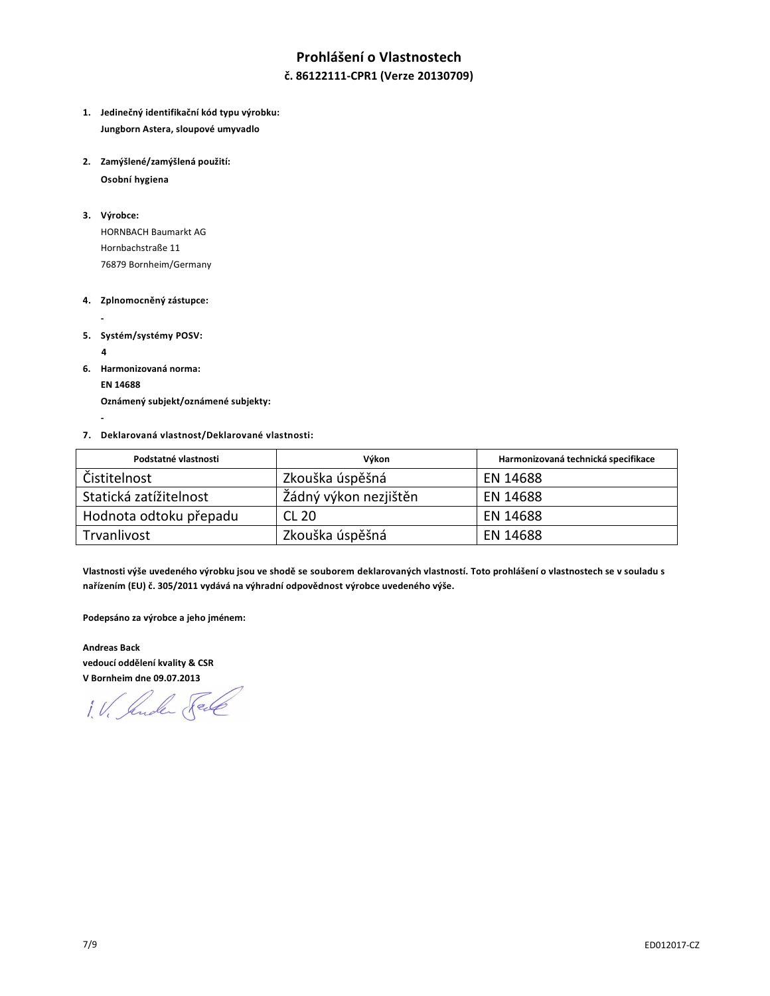# **Prohlášení o Vlastnostech**

**č. 86122111-CPR1 (Verze 20130709)**

- **1. Jedinečný identifikační kód typu výrobku: Jungborn Astera, sloupové umyvadlo**
- **2. Zamýšlené/zamýšlená použití: Osobní hygiena**

**3. Výrobce:** 

HORNBACH Baumarkt AG Hornbachstraße 11 76879 Bornheim/Germany

- **4. Zplnomocněný zástupce:**
- **5. Systém/systémy POSV:**

 **4** 

 **-** 

 **-** 

- **6. Harmonizovaná norma:** 
	- **EN 14688**

 **Oznámený subjekt/oznámené subjekty:** 

**7. Deklarovaná vlastnost/Deklarované vlastnosti:** 

| Podstatné vlastnosti   | Výkon                 | Harmonizovaná technická specifikace |
|------------------------|-----------------------|-------------------------------------|
| Čistitelnost           | Zkouška úspěšná       | EN 14688                            |
| Statická zatížitelnost | Žádný výkon nezjištěn | EN 14688                            |
| Hodnota odtoku přepadu | CL 20                 | EN 14688                            |
| Trvanlivost            | Zkouška úspěšná       | EN 14688                            |

**Vlastnosti výše uvedeného výrobku jsou ve shodě se souborem deklarovaných vlastností. Toto prohlášení o vlastnostech se v souladu s nařízením (EU) č. 305/2011 vydává na výhradní odpovědnost výrobce uvedeného výše.** 

**Podepsáno za výrobce a jeho jménem:** 

**Andreas Back vedoucí oddělení kvality & CSR** 

**V Bornheim dne 09.07.2013**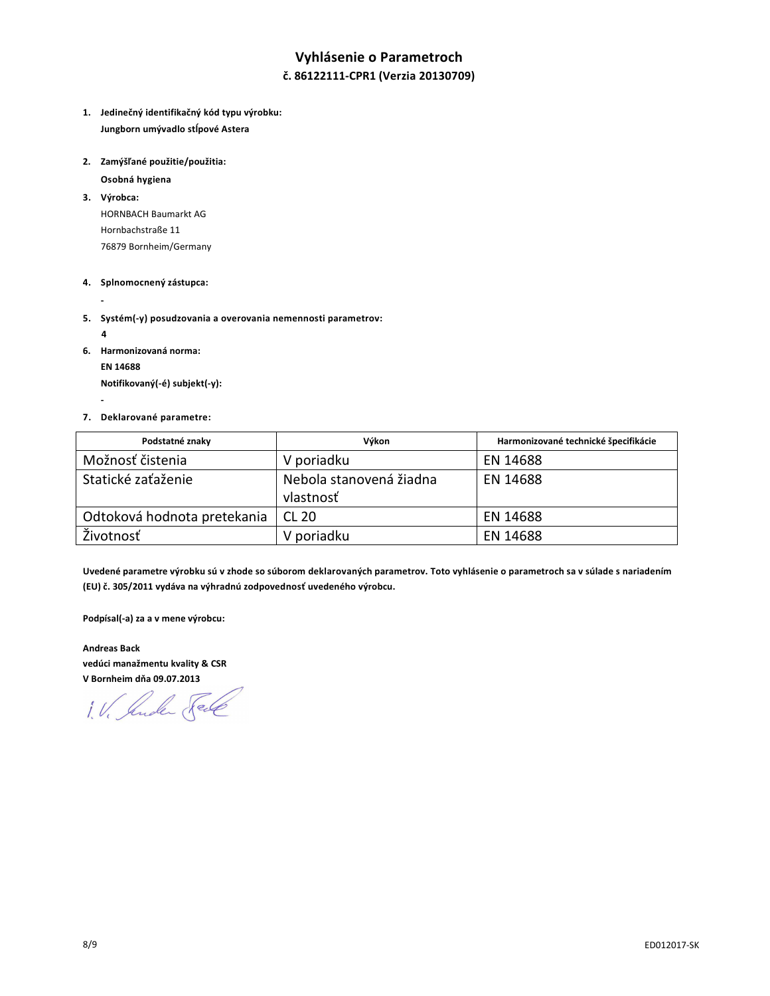# **Vyhlásenie o Parametroch č. 86122111-CPR1 (Verzia 20130709)**

- **1. Jedinečný identifikačný kód typu výrobku: Jungborn umývadlo stĺpové Astera**
- **2. Zamýšľané použitie/použitia:**

 **Osobná hygiena** 

**3. Výrobca:** 

HORNBACH Baumarkt AG Hornbachstraße 11 76879 Bornheim/Germany

#### **4. Splnomocnený zástupca:**

**5. Systém(-y) posudzovania a overovania nemennosti parametrov:** 

 **4** 

 **-** 

 **-** 

**6. Harmonizovaná norma:** 

 **EN 14688** 

 **Notifikovaný(-é) subjekt(-y):** 

#### **7. Deklarované parametre:**

| Podstatné znaky             | Výkon                                | Harmonizované technické špecifikácie |
|-----------------------------|--------------------------------------|--------------------------------------|
| Možnosť čistenia            | V poriadku                           | EN 14688                             |
| Statické zaťaženie          | Nebola stanovená žiadna<br>vlastnosť | EN 14688                             |
| Odtoková hodnota pretekania | CL 20                                | EN 14688                             |
| Životnosť                   | V poriadku                           | EN 14688                             |

**Uvedené parametre výrobku sú v zhode so súborom deklarovaných parametrov. Toto vyhlásenie o parametroch sa v súlade s nariadením (EU) č. 305/2011 vydáva na výhradnú zodpovednosť uvedeného výrobcu.** 

**Podpísal(-a) za a v mene výrobcu:** 

**Andreas Back vedúci manažmentu kvality & CSR V Bornheim dňa 09.07.2013** 

1. V. Jude Fell